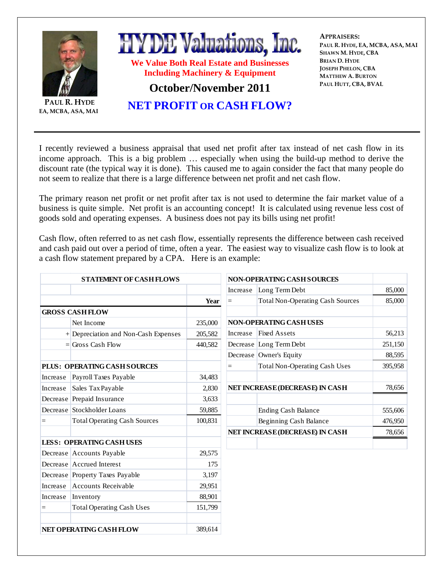

I recently reviewed a business appraisal that used net profit after tax instead of net cash flow in its income approach. This is a big problem … especially when using the build-up method to derive the discount rate (the typical way it is done). This caused me to again consider the fact that many people do not seem to realize that there is a large difference between net profit and net cash flow.

The primary reason net profit or net profit after tax is not used to determine the fair market value of a business is quite simple. Net profit is an accounting concept! It is calculated using revenue less cost of goods sold and operating expenses. A business does not pay its bills using net profit!

Cash flow, often referred to as net cash flow, essentially represents the difference between cash received and cash paid out over a period of time, often a year. The easiest way to visualize cash flow is to look at a cash flow statement prepared by a CPA. Here is an example:

| <b>STATEMENT OF CASH FLOWS</b>   |                                        |         | NON-OPERATING CASH SOURCES      |                                         |         |
|----------------------------------|----------------------------------------|---------|---------------------------------|-----------------------------------------|---------|
|                                  |                                        |         | Increase                        | Long Term Debt                          | 85,000  |
|                                  |                                        | Year    | $=$                             | <b>Total Non-Operating Cash Sources</b> | 85,000  |
|                                  | <b>GROSS CASH FLOW</b>                 |         |                                 |                                         |         |
|                                  | Net Income                             | 235,000 | <b>NON-OPERATING CASH USES</b>  |                                         |         |
|                                  | $+$ Depreciation and Non-Cash Expenses | 205,582 | Increase                        | <b>Fixed Assets</b>                     | 56,213  |
|                                  | $=$ Gross Cash Flow                    | 440,582 |                                 | Decrease Long Term Debt                 | 251,150 |
|                                  |                                        |         |                                 | Decrease Owner's Equity                 | 88,595  |
| PLUS: OPERATING CASH SOURCES     |                                        |         | $=$                             | <b>Total Non-Operating Cash Uses</b>    | 395,958 |
| Increase                         | Payroll Taxes Payable                  | 34,483  |                                 |                                         |         |
| Increase                         | Sales Tax Payable                      | 2,830   | NET INCREASE (DECREASE) IN CASH |                                         | 78,656  |
|                                  | Decrease Prepaid Insurance             | 3,633   |                                 |                                         |         |
|                                  | Decrease Stockholder Loans             | 59,885  |                                 | <b>Ending Cash Balance</b>              | 555,606 |
| $=$                              | <b>Total Operating Cash Sources</b>    | 100,831 |                                 | Beginning Cash Balance                  | 476,950 |
|                                  |                                        |         | NET INCREASE (DECREASE) IN CASH |                                         | 78,656  |
| <b>LESS: OPERATING CASH USES</b> |                                        |         |                                 |                                         |         |
|                                  | Decrease Accounts Payable              | 29,575  |                                 |                                         |         |
|                                  | Decrease Accrued Interest              | 175     |                                 |                                         |         |
|                                  | Decrease Property Taxes Payable        | 3,197   |                                 |                                         |         |
| Increase                         | <b>Accounts Receivable</b>             | 29,951  |                                 |                                         |         |
| Increase                         | Inventory                              | 88,901  |                                 |                                         |         |
| $=$                              | <b>Total Operating Cash Uses</b>       | 151,799 |                                 |                                         |         |
| NET OPERATING CASH FLOW          |                                        | 389,614 |                                 |                                         |         |